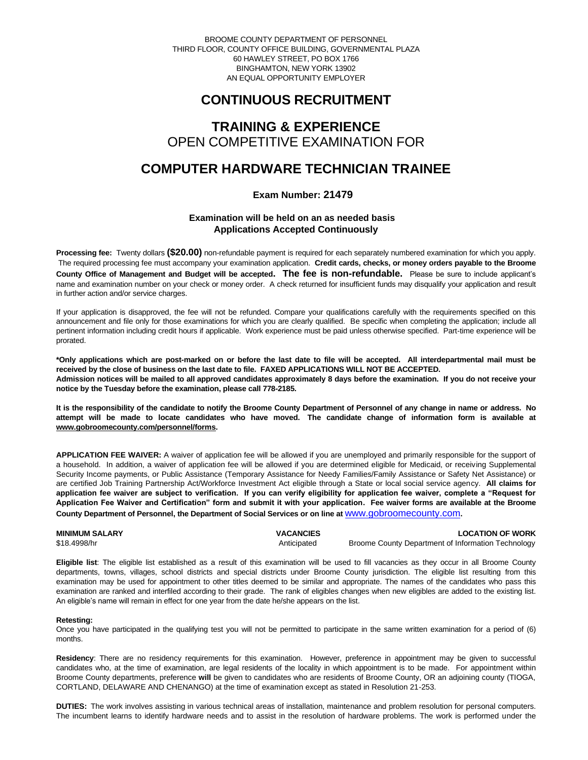BROOME COUNTY DEPARTMENT OF PERSONNEL THIRD FLOOR, COUNTY OFFICE BUILDING, GOVERNMENTAL PLAZA 60 HAWLEY STREET, PO BOX 1766 BINGHAMTON, NEW YORK 13902 AN EQUAL OPPORTUNITY EMPLOYER

# **CONTINUOUS RECRUITMENT**

### **TRAINING & EXPERIENCE** OPEN COMPETITIVE EXAMINATION FOR

## **COMPUTER HARDWARE TECHNICIAN TRAINEE**

### **Exam Number: 21479**

### **Examination will be held on an as needed basis Applications Accepted Continuously**

**Processing fee:** Twenty dollars **(\$20.00)** non-refundable payment is required for each separately numbered examination for which you apply. The required processing fee must accompany your examination application. **Credit cards, checks, or money orders payable to the Broome County Office of Management and Budget will be accepted. The fee is non-refundable.** Please be sure to include applicant's name and examination number on your check or money order. A check returned for insufficient funds may disqualify your application and result in further action and/or service charges.

If your application is disapproved, the fee will not be refunded. Compare your qualifications carefully with the requirements specified on this announcement and file only for those examinations for which you are clearly qualified. Be specific when completing the application; include all pertinent information including credit hours if applicable. Work experience must be paid unless otherwise specified. Part-time experience will be prorated.

**\*Only applications which are post-marked on or before the last date to file will be accepted. All interdepartmental mail must be received by the close of business on the last date to file. FAXED APPLICATIONS WILL NOT BE ACCEPTED. Admission notices will be mailed to all approved candidates approximately 8 days before the examination. If you do not receive your notice by the Tuesday before the examination, please call 778-2185.**

**It is the responsibility of the candidate to notify the Broome County Department of Personnel of any change in name or address. No attempt will be made to locate candidates who have moved. The candidate change of information form is available at [www.gobroomecounty.com/personnel/forms.](http://www.gobroomecounty.com/personnel/forms)** 

**APPLICATION FEE WAIVER:** A waiver of application fee will be allowed if you are unemployed and primarily responsible for the support of a household. In addition, a waiver of application fee will be allowed if you are determined eligible for Medicaid, or receiving Supplemental Security Income payments, or Public Assistance (Temporary Assistance for Needy Families/Family Assistance or Safety Net Assistance) or are certified Job Training Partnership Act/Workforce Investment Act eligible through a State or local social service agency. **All claims for application fee waiver are subject to verification. If you can verify eligibility for application fee waiver, complete a "Request for Application Fee Waiver and Certification" form and submit it with your application. Fee waiver forms are available at the Broome County Department of Personnel, the Department of Social Services or on line at** [www.gobroomecounty.com](http://www.gobroomecounty.com/)**.**

| <b>MINIMUM SALARY</b> | <b>VACANCIES</b> | <b>LOCATION OF WORK</b>                            |
|-----------------------|------------------|----------------------------------------------------|
| \$18,4998/hr          | Anticipated      | Broome County Department of Information Technology |

**Eligible list**: The eligible list established as a result of this examination will be used to fill vacancies as they occur in all Broome County departments, towns, villages, school districts and special districts under Broome County jurisdiction. The eligible list resulting from this examination may be used for appointment to other titles deemed to be similar and appropriate. The names of the candidates who pass this examination are ranked and interfiled according to their grade. The rank of eligibles changes when new eligibles are added to the existing list. An eligible's name will remain in effect for one year from the date he/she appears on the list.

#### **Retesting:**

Once you have participated in the qualifying test you will not be permitted to participate in the same written examination for a period of (6) months.

**Residency**: There are no residency requirements for this examination. However, preference in appointment may be given to successful candidates who, at the time of examination, are legal residents of the locality in which appointment is to be made. For appointment within Broome County departments, preference **will** be given to candidates who are residents of Broome County, OR an adjoining county (TIOGA, CORTLAND, DELAWARE AND CHENANGO) at the time of examination except as stated in Resolution 21-253.

**DUTIES:** The work involves assisting in various technical areas of installation, maintenance and problem resolution for personal computers. The incumbent learns to identify hardware needs and to assist in the resolution of hardware problems. The work is performed under the